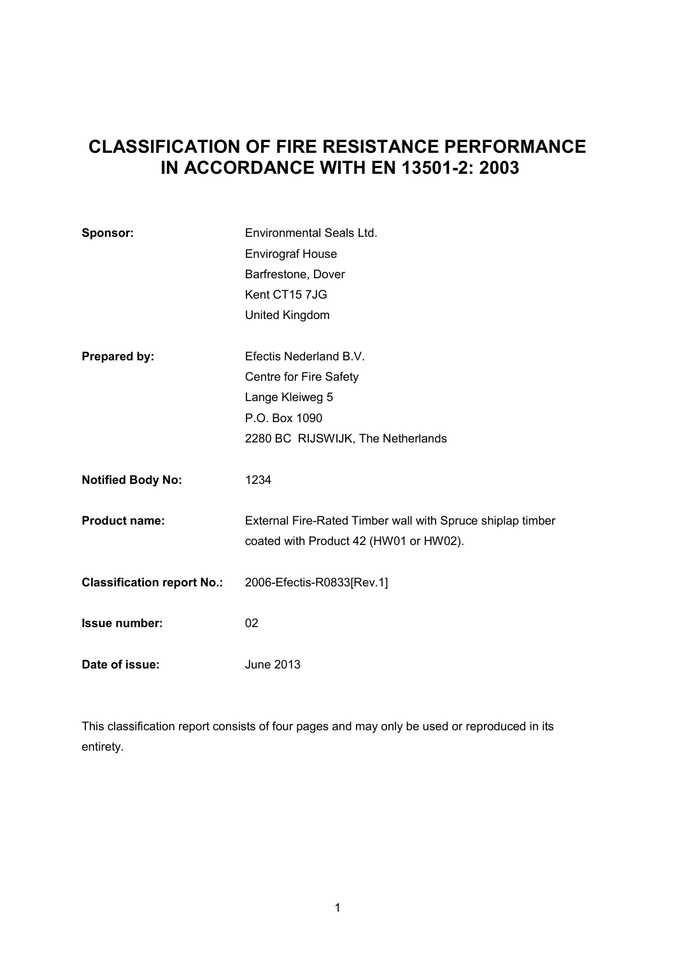# **CLASSIFICATION OF FIRE RESISTANCE PERFORMANCE IN ACCORDANCE WITH EN 13501-2: 2003**

| Sponsor:                          | Environmental Seals Ltd.                                                                             |
|-----------------------------------|------------------------------------------------------------------------------------------------------|
|                                   | <b>Envirograf House</b>                                                                              |
|                                   | Barfrestone, Dover                                                                                   |
|                                   | Kent CT15 7JG                                                                                        |
|                                   | United Kingdom                                                                                       |
|                                   |                                                                                                      |
| Prepared by:                      | Efectis Nederland B.V.                                                                               |
|                                   | Centre for Fire Safety                                                                               |
|                                   | Lange Kleiweg 5                                                                                      |
|                                   | P.O. Box 1090                                                                                        |
|                                   | 2280 BC RIJSWIJK, The Netherlands                                                                    |
| <b>Notified Body No:</b>          | 1234                                                                                                 |
| <b>Product name:</b>              | External Fire-Rated Timber wall with Spruce shiplap timber<br>coated with Product 42 (HW01 or HW02). |
| <b>Classification report No.:</b> | 2006-Efectis-R0833[Rev.1]                                                                            |
| <b>Issue number:</b>              | 02                                                                                                   |
| Date of issue:                    | June 2013                                                                                            |

This classification report consists of four pages and may only be used or reproduced in its entirety.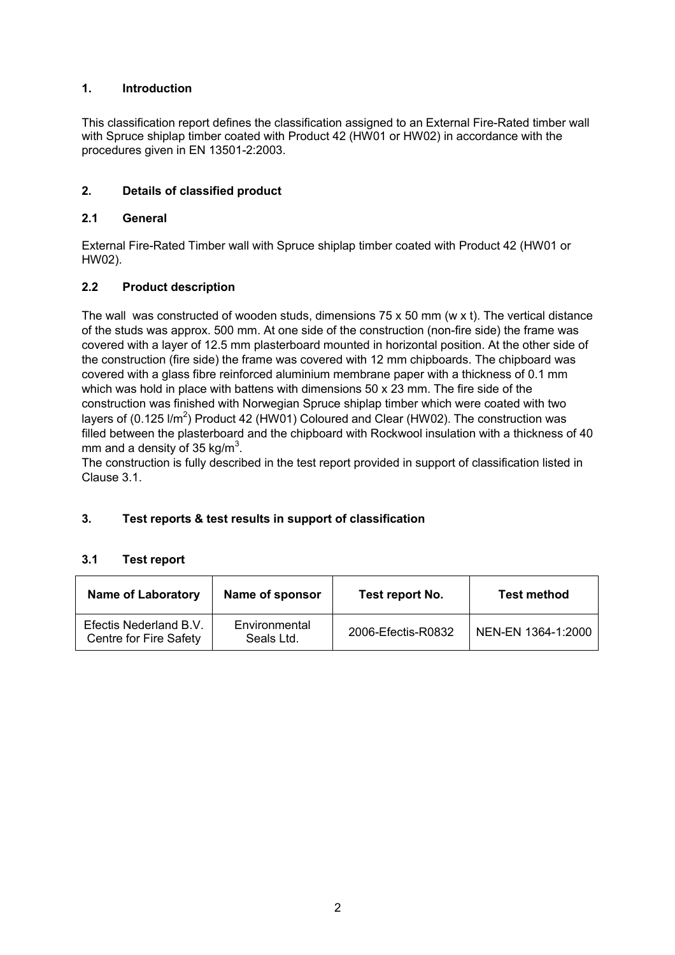# **1. Introduction**

This classification report defines the classification assigned to an External Fire-Rated timber wall with Spruce shiplap timber coated with Product 42 (HW01 or HW02) in accordance with the procedures given in EN 13501-2:2003.

# **2. Details of classified product**

# **2.1 General**

External Fire-Rated Timber wall with Spruce shiplap timber coated with Product 42 (HW01 or HW02).

# **2.2 Product description**

The wall was constructed of wooden studs, dimensions 75 x 50 mm (w x t). The vertical distance of the studs was approx. 500 mm. At one side of the construction (non-fire side) the frame was covered with a layer of 12.5 mm plasterboard mounted in horizontal position. At the other side of the construction (fire side) the frame was covered with 12 mm chipboards. The chipboard was covered with a glass fibre reinforced aluminium membrane paper with a thickness of 0.1 mm which was hold in place with battens with dimensions 50 x 23 mm. The fire side of the construction was finished with Norwegian Spruce shiplap timber which were coated with two layers of (0.125 I/m<sup>2</sup>) Product 42 (HW01) Coloured and Clear (HW02). The construction was filled between the plasterboard and the chipboard with Rockwool insulation with a thickness of 40 mm and a density of 35 kg/m $^3$ .

The construction is fully described in the test report provided in support of classification listed in Clause 3.1.

# **3. Test reports & test results in support of classification**

# **3.1 Test report**

| <b>Name of Laboratory</b>                        | Name of sponsor             | Test report No.    | <b>Test method</b> |
|--------------------------------------------------|-----------------------------|--------------------|--------------------|
| Efectis Nederland B.V.<br>Centre for Fire Safety | Environmental<br>Seals Ltd. | 2006-Efectis-R0832 | NEN-EN 1364-1:2000 |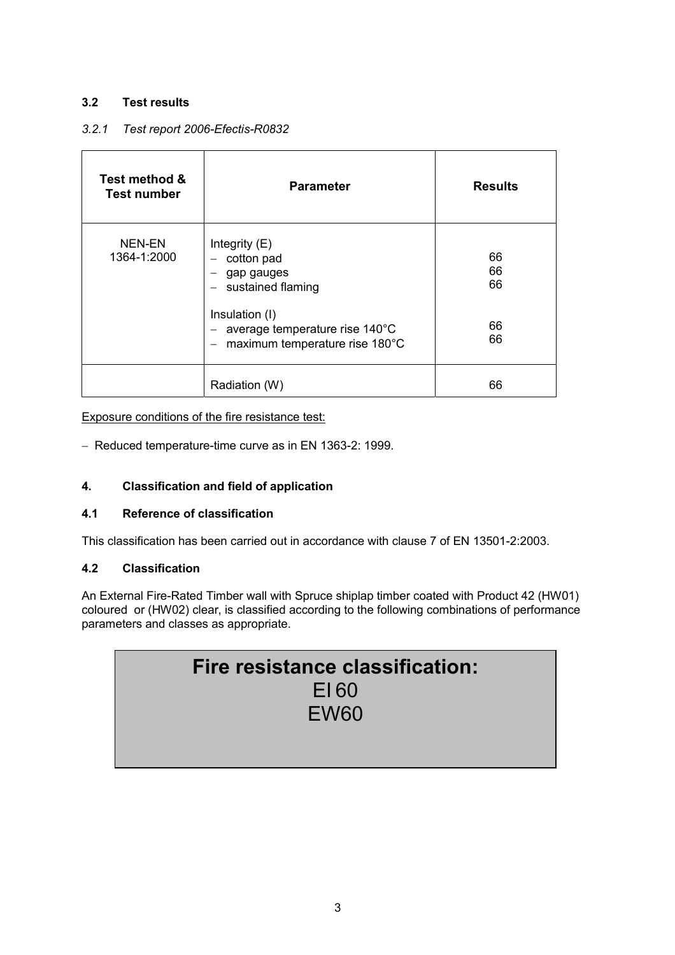# **3.2 Test results**

# *3.2.1 Test report 2006-Efectis-R0832*

| Test method &<br><b>Test number</b> | <b>Parameter</b>                                                                   | <b>Results</b> |
|-------------------------------------|------------------------------------------------------------------------------------|----------------|
| NEN-EN<br>1364-1:2000               | Integrity $(E)$<br>cotton pad<br>gap gauges<br>sustained flaming                   | 66<br>66<br>66 |
|                                     | Insulation (I)<br>average temperature rise 140°C<br>maximum temperature rise 180°C | 66<br>66       |
|                                     | Radiation (W)                                                                      | 66             |

# Exposure conditions of the fire resistance test:

− Reduced temperature-time curve as in EN 1363-2: 1999.

# **4. Classification and field of application**

# **4.1 Reference of classification**

This classification has been carried out in accordance with clause 7 of EN 13501-2:2003.

# **4.2 Classification**

An External Fire-Rated Timber wall with Spruce shiplap timber coated with Product 42 (HW01) coloured or (HW02) clear, is classified according to the following combinations of performance parameters and classes as appropriate.

| Fire resistance classification: |  |
|---------------------------------|--|
| E160                            |  |
| EW <sub>60</sub>                |  |
|                                 |  |
|                                 |  |